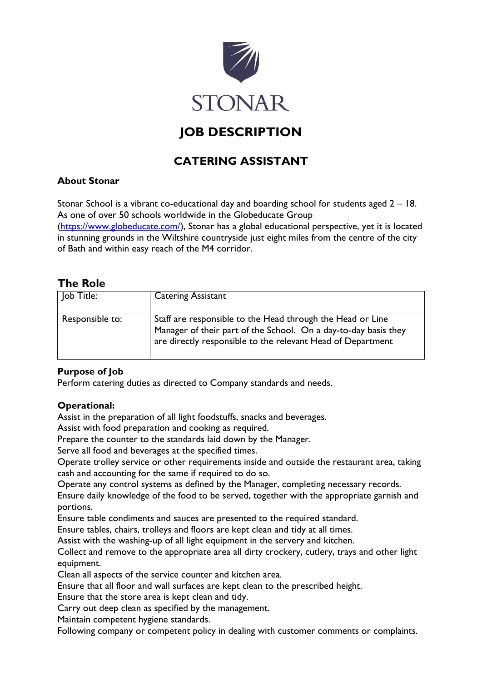

# **JOB DESCRIPTION**

# **CATERING ASSISTANT**

## **About Stonar**

Stonar School is a vibrant co-educational day and boarding school for students aged 2 – 18. As one of over 50 schools worldwide in the Globeducate Group

[\(https://www.globeducate.com/\)](https://www.globeducate.com/), Stonar has a global educational perspective, yet it is located in stunning grounds in the Wiltshire countryside just eight miles from the centre of the city of Bath and within easy reach of the M4 corridor.

# **The Role**

| Job Title:      | <b>Catering Assistant</b>                                                                                                                                                                    |
|-----------------|----------------------------------------------------------------------------------------------------------------------------------------------------------------------------------------------|
| Responsible to: | Staff are responsible to the Head through the Head or Line<br>Manager of their part of the School. On a day-to-day basis they<br>are directly responsible to the relevant Head of Department |

# **Purpose of Job**

Perform catering duties as directed to Company standards and needs.

### **Operational:**

Assist in the preparation of all light foodstuffs, snacks and beverages.

Assist with food preparation and cooking as required.

Prepare the counter to the standards laid down by the Manager.

Serve all food and beverages at the specified times.

Operate trolley service or other requirements inside and outside the restaurant area, taking cash and accounting for the same if required to do so.

Operate any control systems as defined by the Manager, completing necessary records.

Ensure daily knowledge of the food to be served, together with the appropriate garnish and portions.

Ensure table condiments and sauces are presented to the required standard.

Ensure tables, chairs, trolleys and floors are kept clean and tidy at all times.

Assist with the washing-up of all light equipment in the servery and kitchen.

Collect and remove to the appropriate area all dirty crockery, cutlery, trays and other light equipment.

Clean all aspects of the service counter and kitchen area.

Ensure that all floor and wall surfaces are kept clean to the prescribed height.

Ensure that the store area is kept clean and tidy.

Carry out deep clean as specified by the management.

Maintain competent hygiene standards.

Following company or competent policy in dealing with customer comments or complaints.